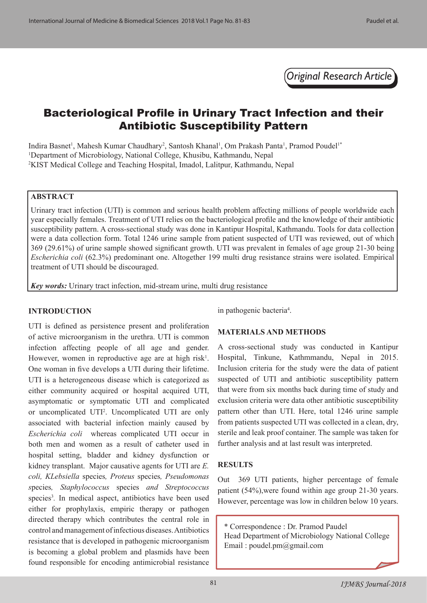*Original Research Article*

# Bacteriological Profile in Urinary Tract Infection and their Antibiotic Susceptibility Pattern

Indira Basnet<sup>1</sup>, Mahesh Kumar Chaudhary<sup>2</sup>, Santosh Khanal<sup>1</sup>, Om Prakash Panta<sup>1</sup>, Pramod Poudel<sup>1\*</sup> <sup>1</sup>Department of Microbiology, National College, Khusibu, Kathmandu, Nepal 2 KIST Medical College and Teaching Hospital, Imadol, Lalitpur, Kathmandu, Nepal

#### **ABSTRACT**

Urinary tract infection (UTI) is common and serious health problem affecting millions of people worldwide each year especially females. Treatment of UTI relies on the bacteriological profile and the knowledge of their antibiotic susceptibility pattern. A cross-sectional study was done in Kantipur Hospital, Kathmandu. Tools for data collection were a data collection form. Total 1246 urine sample from patient suspected of UTI was reviewed, out of which 369 (29.61%) of urine sample showed significant growth. UTI was prevalent in females of age group 21-30 being *Escherichia coli* (62.3%) predominant one. Altogether 199 multi drug resistance strains were isolated. Empirical treatment of UTI should be discouraged.

*Key words:* Urinary tract infection, mid-stream urine, multi drug resistance

#### **INTRODUCTION**

UTI is defined as persistence present and proliferation of active microorganism in the urethra. UTI is common infection affecting people of all age and gender. However, women in reproductive age are at high risk<sup>1</sup>. One woman in five develops a UTI during their lifetime. UTI is a heterogeneous disease which is categorized as either community acquired or hospital acquired UTI, asymptomatic or symptomatic UTI and complicated or uncomplicated UTI<sup>2</sup>. Uncomplicated UTI are only associated with bacterial infection mainly caused by *Escherichia coli* whereas complicated UTI occur in both men and women as a result of catheter used in hospital setting, bladder and kidney dysfunction or kidney transplant. Major causative agents for UTI are *E. coli, KLebsiella* species*, Proteus* species*, Pseudomonas s*pecies*, Staphylococcus* species *and Streptococcus*  species<sup>3</sup>. In medical aspect, antibiotics have been used either for prophylaxis, empiric therapy or pathogen directed therapy which contributes the central role in control and management of infectious diseases. Antibiotics resistance that is developed in pathogenic microorganism is becoming a global problem and plasmids have been found responsible for encoding antimicrobial resistance

in pathogenic bacteria<sup>4</sup>.

#### **MATERIALS AND METHODS**

A cross-sectional study was conducted in Kantipur Hospital, Tinkune, Kathmmandu, Nepal in 2015. Inclusion criteria for the study were the data of patient suspected of UTI and antibiotic susceptibility pattern that were from six months back during time of study and exclusion criteria were data other antibiotic susceptibility pattern other than UTI. Here, total 1246 urine sample from patients suspected UTI was collected in a clean, dry, sterile and leak proof container. The sample was taken for further analysis and at last result was interpreted.

#### **RESULTS**

Out 369 UTI patients, higher percentage of female patient (54%),were found within age group 21-30 years. However, percentage was low in children below 10 years.

\* Correspondence : Dr. Pramod Paudel Head Department of Microbiology National College Email : poudel.pm@gmail.com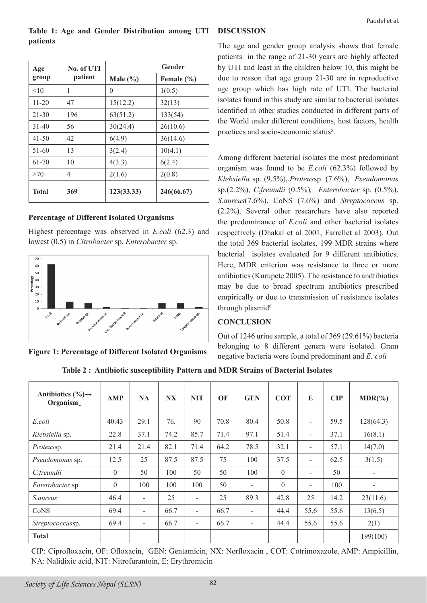| Table 1: Age and Gender Distribution among UTI DISCUSSION |                           |
|-----------------------------------------------------------|---------------------------|
| patients                                                  | $\theta$ are and $\alpha$ |

| Age       | No. of UTI | Gender       |                |  |  |  |
|-----------|------------|--------------|----------------|--|--|--|
| group     | patient    | Male $(\% )$ | Female $(\% )$ |  |  |  |
| <10       | 1          | 0            | 1(0.5)         |  |  |  |
| $11 - 20$ | 47         | 15(12.2)     | 32(13)         |  |  |  |
| $21 - 30$ | 196        | 63(51.2)     | 133(54)        |  |  |  |
| $31 - 40$ | 56         | 30(24.4)     | 26(10.6)       |  |  |  |
| $41 - 50$ | 42         | 6(4.9)       | 36(14.6)       |  |  |  |
| 51-60     | 13         | 3(2.4)       | 10(4.1)        |  |  |  |
| 61-70     | 10         | 4(3.3)       | 6(2.4)         |  |  |  |
| >70       | 4          | 2(1.6)       | 2(0.8)         |  |  |  |
| Total     | 369        | 123(33.33)   | 246(66.67)     |  |  |  |

## **Percentage of Different Isolated Organisms**

Highest percentage was observed in *E.coli* (62.3) and lowest (0.5) in *Citrobacter* sp. *Enterobacter* sp.



**Figure 1: Percentage of Different Isolated Organisms**

The age and gender group analysis shows that female patients in the range of 21-30 years are highly affected by UTI and least in the children below 10, this might be due to reason that age group 21-30 are in reproductive age group which has high rate of UTI. The bacterial isolates found in this study are similar to bacterial isolates identified in other studies conducted in different parts of the World under different conditions, host factors, health practices and socio-economic status<sup>5</sup>.

Among different bacterial isolates the most predominant organism was found to be *E.coli* (62.3%) followed by *Klebsiella* sp. (9.5%),.*Proteus*sp. (7.6%), *Pseudomonas*  sp.(2.2%), *C.freundii* (0.5%)*, Enterobacter* sp. (0.5%), *S.aureus*(7.6%), CoNS (7.6%) and *Streptococcus* sp. (2.2%). Several other researchers have also reported the predominance of *E.coli* and other bacterial isolates respectively (Dhakal et al 2001, Farrellet al 2003). Out the total 369 bacterial isolates, 199 MDR strains where bacterial isolates evaluated for 9 different antibiotics. Here, MDR criterion was resistance to three or more antibiotics (Kurupete 2005). The resistance to andtibiotics may be due to broad spectrum antibiotics prescribed empirically or due to transmission of resistance isolates through plasmid<sup>6</sup>

#### **CONCLUSION**

Out of 1246 urine sample, a total of 369 (29.61%) bacteria belonging to 8 different genera were isolated. Gram negative bacteria were found predominant and *E. coli*

**Table 2 : Antibiotic susceptibility Pattern and MDR Strains of Bacterial Isolates**

| Antibiotics $(\% ) \rightarrow$<br>Organism $\downarrow$ | <b>AMP</b> | <b>NA</b>                | <b>NX</b> | <b>NIT</b>                   | OF   | <b>GEN</b>               | <b>COT</b> | E                        | <b>CIP</b> | $MDR$ $%$ |
|----------------------------------------------------------|------------|--------------------------|-----------|------------------------------|------|--------------------------|------------|--------------------------|------------|-----------|
| E.coli                                                   | 40.43      | 29.1                     | 76.       | 90                           | 70.8 | 80.4                     | 50.8       | ÷                        | 59.5       | 128(64.3) |
| Klebsiella sp.                                           | 22.8       | 37.1                     | 74.2      | 85.7                         | 71.4 | 97.1                     | 51.4       | $\overline{\phantom{0}}$ | 37.1       | 16(8.1)   |
| Proteussp.                                               | 21.4       | 21.4                     | 82.1      | 71.4                         | 64.2 | 78.5                     | 32.1       | $\overline{\phantom{a}}$ | 57.1       | 14(7.0)   |
| Pseudomonas sp.                                          | 12.5       | 25                       | 87.5      | 87.5                         | 75   | 100                      | 37.5       | ۰                        | 62.5       | 3(1.5)    |
| C.freundii                                               | $\theta$   | 50                       | 100       | 50                           | 50   | 100                      | $\theta$   |                          | 50         |           |
| Enterobacter sp.                                         | $\theta$   | 100                      | 100       | 100                          | 50   | $\overline{\phantom{a}}$ | $\theta$   | $\blacksquare$           | 100        |           |
| <i>S.aureus</i>                                          | 46.4       | $\overline{\phantom{a}}$ | 25        | $\qquad \qquad \blacksquare$ | 25   | 89.3                     | 42.8       | 25                       | 14.2       | 23(11.6)  |
| CoNS                                                     | 69.4       | $\overline{\phantom{a}}$ | 66.7      | $\qquad \qquad \blacksquare$ | 66.7 | $\overline{\phantom{a}}$ | 44.4       | 55.6                     | 55.6       | 13(6.5)   |
| <i>Streptococcussp.</i>                                  | 69.4       | $\overline{\phantom{a}}$ | 66.7      | $\qquad \qquad \blacksquare$ | 66.7 | $\overline{\phantom{a}}$ | 44.4       | 55.6                     | 55.6       | 2(1)      |
| <b>Total</b>                                             |            |                          |           |                              |      |                          |            |                          |            | 199(100)  |

CIP: Ciprofloxacin, OF: Ofloxacin, GEN: Gentamicin, NX: Norfloxacin , COT: Cotrimoxazole, AMP: Ampicillin, NA: Nalidixic acid, NIT: Nitrofurantoin, E: Erythromicin